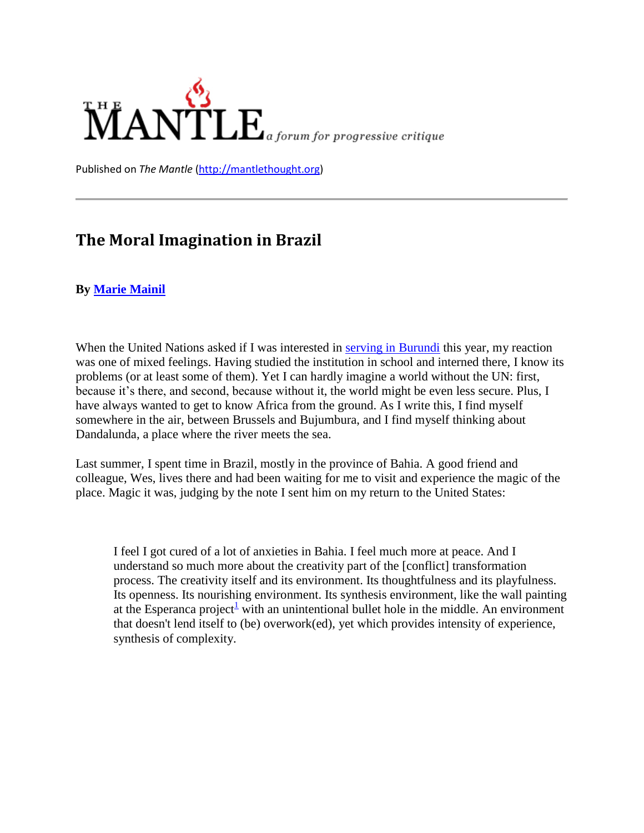

Published on *The Mantle* [\(http://mantlethought.org\)](http://mantlethought.org/)

# **The Moral Imagination in Brazil**

#### **By [Marie Mainil](http://mantlethought.org/node/106)**

When the United Nations asked if I was interested in [serving in Burundi](http://marieinburundi.shutterfly.com/) this year, my reaction was one of mixed feelings. Having studied the institution in school and interned there, I know its problems (or at least some of them). Yet I can hardly imagine a world without the UN: first, because it's there, and second, because without it, the world might be even less secure. Plus, I have always wanted to get to know Africa from the ground. As I write this, I find myself somewhere in the air, between Brussels and Bujumbura, and I find myself thinking about Dandalunda, a place where the river meets the sea.

Last summer, I spent time in Brazil, mostly in the province of Bahia. A good friend and colleague, Wes, lives there and had been waiting for me to visit and experience the magic of the place. Magic it was, judging by the note I sent him on my return to the United States:

I feel I got cured of a lot of anxieties in Bahia. I feel much more at peace. And I understand so much more about the creativity part of the [conflict] transformation process. The creativity itself and its environment. Its thoughtfulness and its playfulness. Its openness. Its nourishing environment. Its synthesis environment, like the wall painting at the Esperanca project<sup>[1](http://mantlethought.org/content/moral-imagination-brazil#_ftn1)</sup> with an unintentional bullet hole in the middle. An environment that doesn't lend itself to (be) overwork(ed), yet which provides intensity of experience, synthesis of complexity.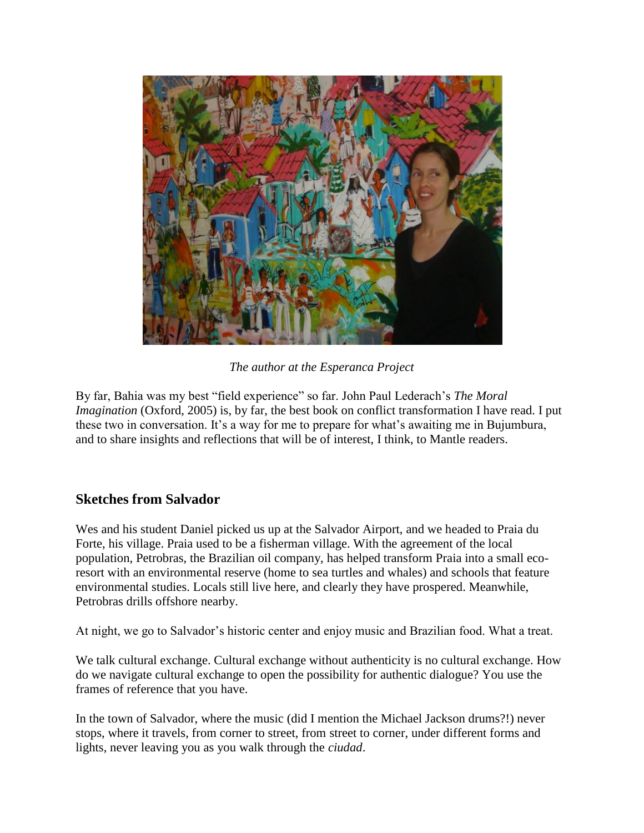

*The author at the Esperanca Project*

By far, Bahia was my best "field experience" so far. John Paul Lederach"s *The Moral Imagination* (Oxford, 2005) is, by far, the best book on conflict transformation I have read. I put these two in conversation. It's a way for me to prepare for what's awaiting me in Bujumbura, and to share insights and reflections that will be of interest, I think, to Mantle readers.

# **Sketches from Salvador**

Wes and his student Daniel picked us up at the Salvador Airport, and we headed to Praia du Forte, his village. Praia used to be a fisherman village. With the agreement of the local population, Petrobras, the Brazilian oil company, has helped transform Praia into a small ecoresort with an environmental reserve (home to sea turtles and whales) and schools that feature environmental studies. Locals still live here, and clearly they have prospered. Meanwhile, Petrobras drills offshore nearby.

At night, we go to Salvador"s historic center and enjoy music and Brazilian food. What a treat.

We talk cultural exchange. Cultural exchange without authenticity is no cultural exchange. How do we navigate cultural exchange to open the possibility for authentic dialogue? You use the frames of reference that you have.

In the town of Salvador, where the music (did I mention the Michael Jackson drums?!) never stops, where it travels, from corner to street, from street to corner, under different forms and lights, never leaving you as you walk through the *ciudad*.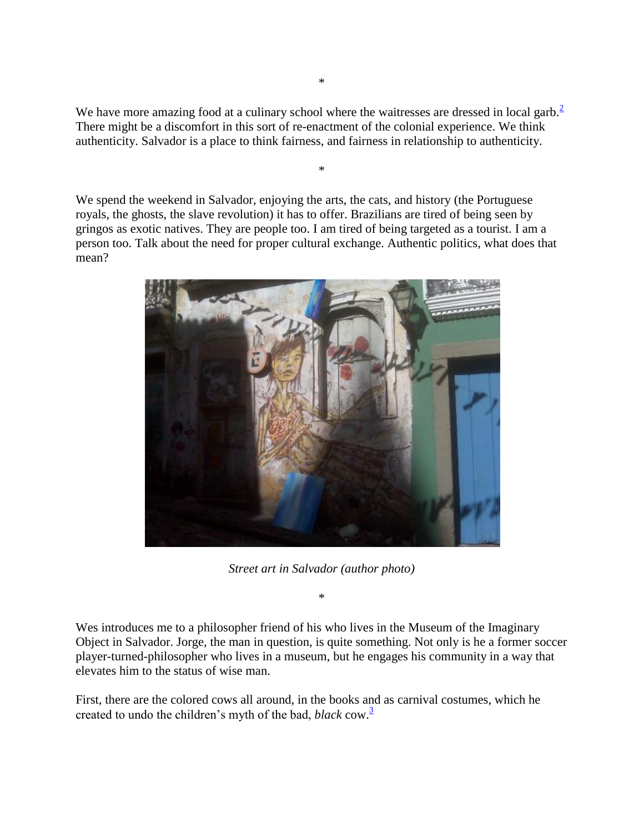We have more amazing food at a culinary school where the waitresses are dressed in local garb.<sup>[2](http://mantlethought.org/content/moral-imagination-brazil#_ftn2)</sup> There might be a discomfort in this sort of re-enactment of the colonial experience. We think authenticity. Salvador is a place to think fairness, and fairness in relationship to authenticity.

\*

We spend the weekend in Salvador, enjoying the arts, the cats, and history (the Portuguese royals, the ghosts, the slave revolution) it has to offer. Brazilians are tired of being seen by gringos as exotic natives. They are people too. I am tired of being targeted as a tourist. I am a person too. Talk about the need for proper cultural exchange. Authentic politics, what does that mean?



*Street art in Salvador (author photo)*

\*

Wes introduces me to a philosopher friend of his who lives in the Museum of the Imaginary Object in Salvador. Jorge, the man in question, is quite something. Not only is he a former soccer player-turned-philosopher who lives in a museum, but he engages his community in a way that elevates him to the status of wise man.

First, there are the colored cows all around, in the books and as carnival costumes, which he created to undo the children's myth of the bad, *black* cow.<sup>[3](http://mantlethought.org/content/moral-imagination-brazil#_ftn3)</sup>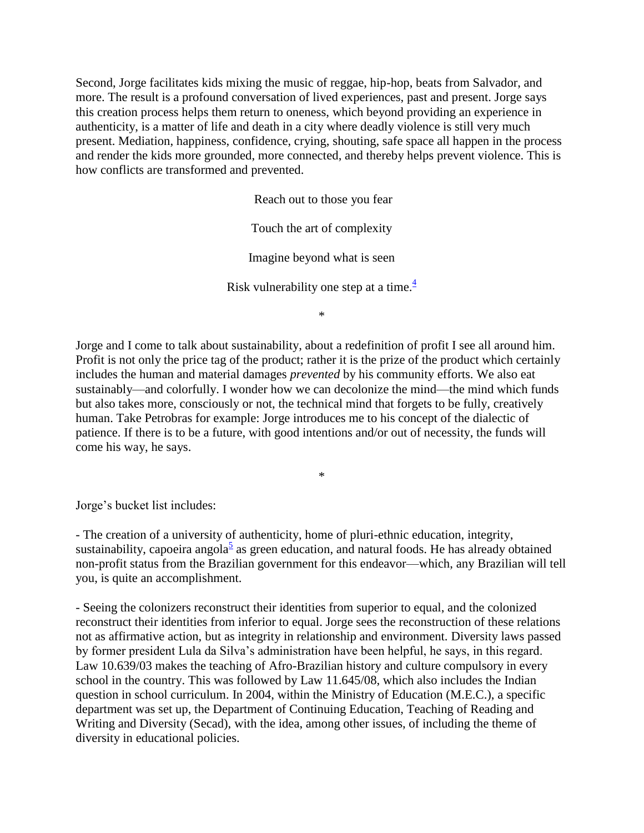Second, Jorge facilitates kids mixing the music of reggae, hip-hop, beats from Salvador, and more. The result is a profound conversation of lived experiences, past and present. Jorge says this creation process helps them return to oneness, which beyond providing an experience in authenticity, is a matter of life and death in a city where deadly violence is still very much present. Mediation, happiness, confidence, crying, shouting, safe space all happen in the process and render the kids more grounded, more connected, and thereby helps prevent violence. This is how conflicts are transformed and prevented.

> Reach out to those you fear Touch the art of complexity Imagine beyond what is seen Risk vulnerability one step at a time. $\frac{4}{3}$  $\frac{4}{3}$  $\frac{4}{3}$

\*

Jorge and I come to talk about sustainability, about a redefinition of profit I see all around him. Profit is not only the price tag of the product; rather it is the prize of the product which certainly includes the human and material damages *prevented* by his community efforts. We also eat sustainably—and colorfully. I wonder how we can decolonize the mind—the mind which funds but also takes more, consciously or not, the technical mind that forgets to be fully, creatively human. Take Petrobras for example: Jorge introduces me to his concept of the dialectic of patience. If there is to be a future, with good intentions and/or out of necessity, the funds will come his way, he says.

\*

Jorge"s bucket list includes:

- The creation of a university of authenticity, home of pluri-ethnic education, integrity, sustainability, capoeira angola<sup>[5](http://mantlethought.org/content/moral-imagination-brazil#_ftn5)</sup> as green education, and natural foods. He has already obtained non-profit status from the Brazilian government for this endeavor—which, any Brazilian will tell you, is quite an accomplishment.

- Seeing the colonizers reconstruct their identities from superior to equal, and the colonized reconstruct their identities from inferior to equal. Jorge sees the reconstruction of these relations not as affirmative action, but as integrity in relationship and environment. Diversity laws passed by former president Lula da Silva"s administration have been helpful, he says, in this regard. Law 10.639/03 makes the teaching of Afro-Brazilian history and culture compulsory in every school in the country. This was followed by Law 11.645/08, which also includes the Indian question in school curriculum. In 2004, within the Ministry of Education (M.E.C.), a specific department was set up, the Department of Continuing Education, Teaching of Reading and Writing and Diversity (Secad), with the idea, among other issues, of including the theme of diversity in educational policies.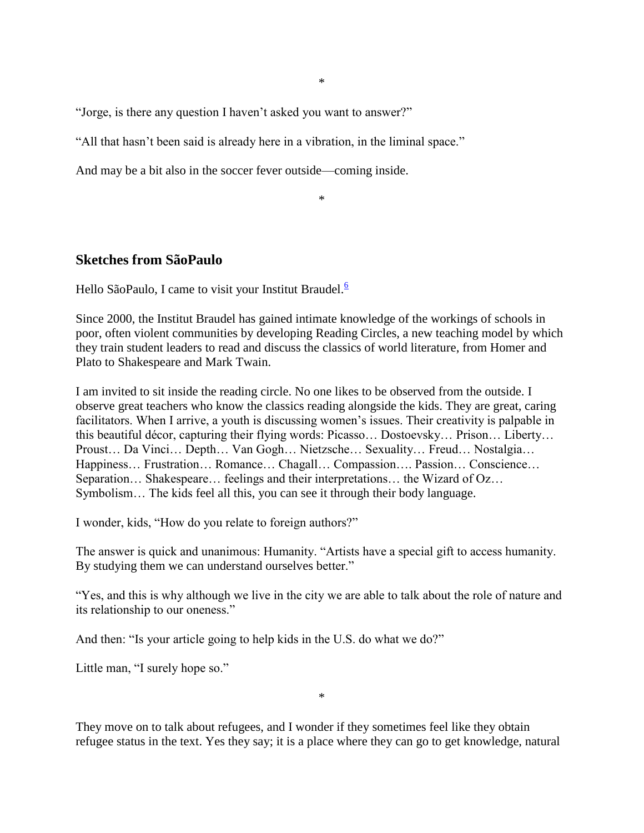\*

"Jorge, is there any question I haven"t asked you want to answer?"

"All that hasn"t been said is already here in a vibration, in the liminal space."

And may be a bit also in the soccer fever outside—coming inside.

\*

### **Sketches from SãoPaulo**

Hello SãoPaulo, I came to visit your Institut Braudel.<sup>[6](http://mantlethought.org/content/moral-imagination-brazil#_ftn6)</sup>

Since 2000, the Institut Braudel has gained intimate knowledge of the workings of schools in poor, often violent communities by developing Reading Circles, a new teaching model by which they train student leaders to read and discuss the classics of world literature, from Homer and Plato to Shakespeare and Mark Twain.

I am invited to sit inside the reading circle. No one likes to be observed from the outside. I observe great teachers who know the classics reading alongside the kids. They are great, caring facilitators. When I arrive, a youth is discussing women's issues. Their creativity is palpable in this beautiful décor, capturing their flying words: Picasso… Dostoevsky… Prison… Liberty… Proust… Da Vinci… Depth… Van Gogh… Nietzsche… Sexuality… Freud… Nostalgia… Happiness… Frustration… Romance… Chagall… Compassion…. Passion… Conscience… Separation… Shakespeare… feelings and their interpretations… the Wizard of Oz… Symbolism… The kids feel all this, you can see it through their body language.

I wonder, kids, "How do you relate to foreign authors?"

The answer is quick and unanimous: Humanity. "Artists have a special gift to access humanity. By studying them we can understand ourselves better."

"Yes, and this is why although we live in the city we are able to talk about the role of nature and its relationship to our oneness."

And then: "Is your article going to help kids in the U.S. do what we do?"

Little man, "I surely hope so."

\*

They move on to talk about refugees, and I wonder if they sometimes feel like they obtain refugee status in the text. Yes they say; it is a place where they can go to get knowledge, natural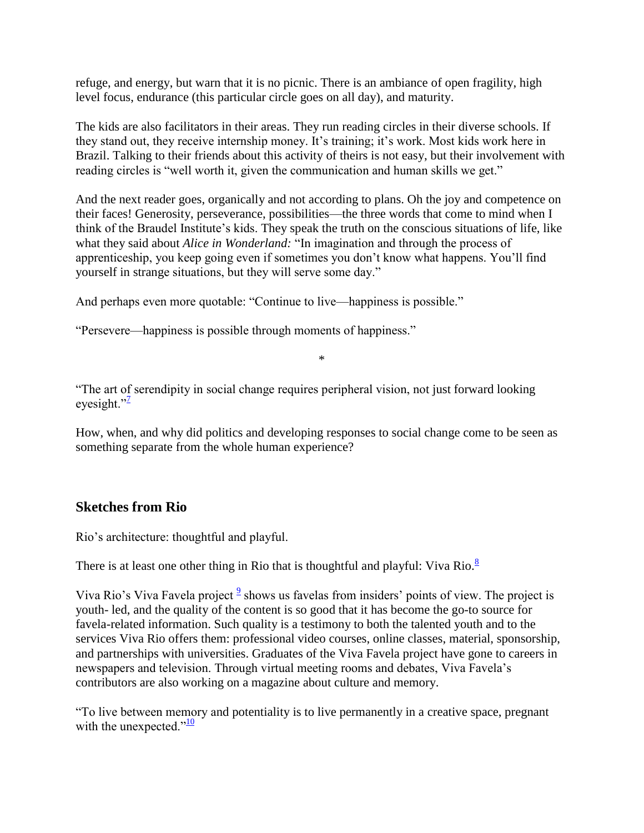refuge, and energy, but warn that it is no picnic. There is an ambiance of open fragility, high level focus, endurance (this particular circle goes on all day), and maturity.

The kids are also facilitators in their areas. They run reading circles in their diverse schools. If they stand out, they receive internship money. It's training; it's work. Most kids work here in Brazil. Talking to their friends about this activity of theirs is not easy, but their involvement with reading circles is "well worth it, given the communication and human skills we get."

And the next reader goes, organically and not according to plans. Oh the joy and competence on their faces! Generosity, perseverance, possibilities—the three words that come to mind when I think of the Braudel Institute"s kids. They speak the truth on the conscious situations of life, like what they said about *Alice in Wonderland:* "In imagination and through the process of apprenticeship, you keep going even if sometimes you don"t know what happens. You"ll find yourself in strange situations, but they will serve some day."

And perhaps even more quotable: "Continue to live—happiness is possible."

"Persevere—happiness is possible through moments of happiness."

\*

"The art of serendipity in social change requires peripheral vision, not just forward looking eyesight.["](http://mantlethought.org/content/moral-imagination-brazil#_ftn7) $\frac{1}{2}$ 

How, when, and why did politics and developing responses to social change come to be seen as something separate from the whole human experience?

# **Sketches from Rio**

Rio"s architecture: thoughtful and playful.

There is at least one other thing in Rio that is thoughtful and playful: Viva Rio. $\frac{8}{3}$  $\frac{8}{3}$  $\frac{8}{3}$ 

Viva Rio's Viva Favela project  $\frac{9}{5}$  $\frac{9}{5}$  $\frac{9}{5}$  shows us favelas from insiders' points of view. The project is youth- led, and the quality of the content is so good that it has become the go-to source for favela-related information. Such quality is a testimony to both the talented youth and to the services Viva Rio offers them: professional video courses, online classes, material, sponsorship, and partnerships with universities. Graduates of the Viva Favela project have gone to careers in newspapers and television. Through virtual meeting rooms and debates, Viva Favela"s contributors are also working on a magazine about culture and memory.

"To live between memory and potentiality is to live permanently in a creative space, pregnant with the unexpected. $v^{10}$  $v^{10}$  $v^{10}$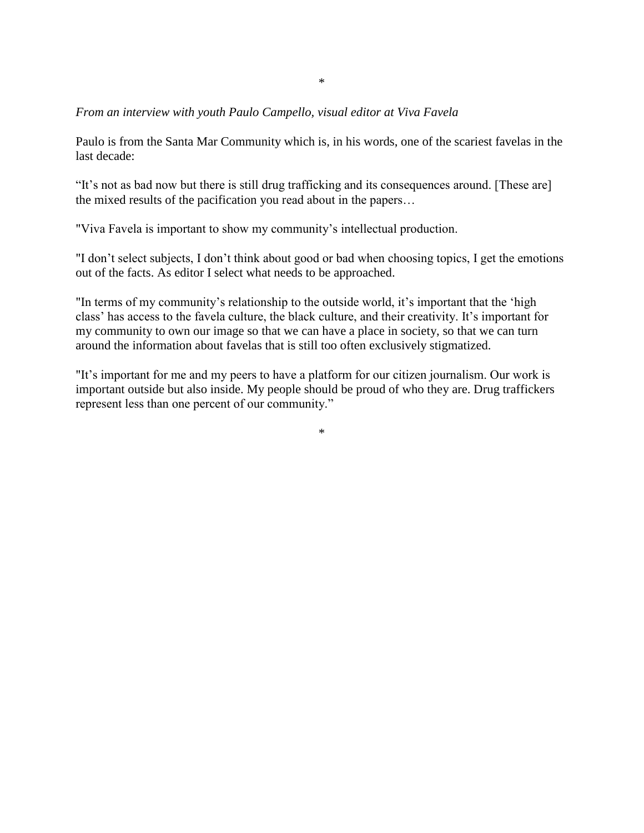#### *From an interview with youth Paulo Campello, visual editor at Viva Favela*

Paulo is from the Santa Mar Community which is, in his words, one of the scariest favelas in the last decade:

"It"s not as bad now but there is still drug trafficking and its consequences around. [These are] the mixed results of the pacification you read about in the papers…

"Viva Favela is important to show my community"s intellectual production.

"I don"t select subjects, I don"t think about good or bad when choosing topics, I get the emotions out of the facts. As editor I select what needs to be approached.

"In terms of my community's relationship to the outside world, it's important that the 'high class' has access to the favela culture, the black culture, and their creativity. It's important for my community to own our image so that we can have a place in society, so that we can turn around the information about favelas that is still too often exclusively stigmatized.

"It"s important for me and my peers to have a platform for our citizen journalism. Our work is important outside but also inside. My people should be proud of who they are. Drug traffickers represent less than one percent of our community."

\*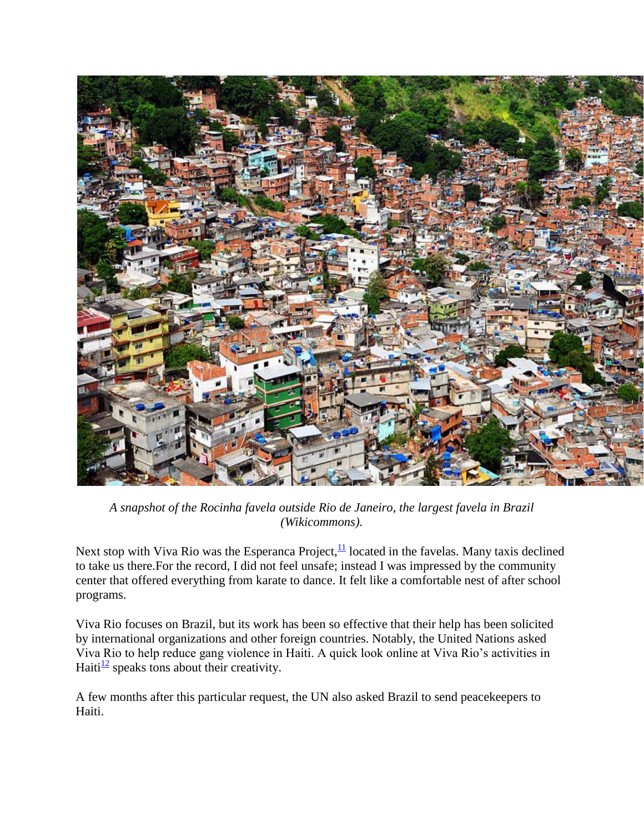

*A snapshot of the Rocinha favela outside Rio de Janeiro, the largest favela in Brazil (Wikicommons).*

Next stop with Viva Rio was the Esperanca Project, $\frac{11}{11}$  $\frac{11}{11}$  $\frac{11}{11}$  located in the favelas. Many taxis declined to take us there.For the record, I did not feel unsafe; instead I was impressed by the community center that offered everything from karate to dance. It felt like a comfortable nest of after school programs.

Viva Rio focuses on Brazil, but its work has been so effective that their help has been solicited by international organizations and other foreign countries. Notably, the United Nations asked Viva Rio to help reduce gang violence in Haiti. A quick look online at Viva Rio"s activities in Haiti $\frac{12}{2}$  $\frac{12}{2}$  $\frac{12}{2}$  speaks tons about their creativity.

A few months after this particular request, the UN also asked Brazil to send peacekeepers to Haiti.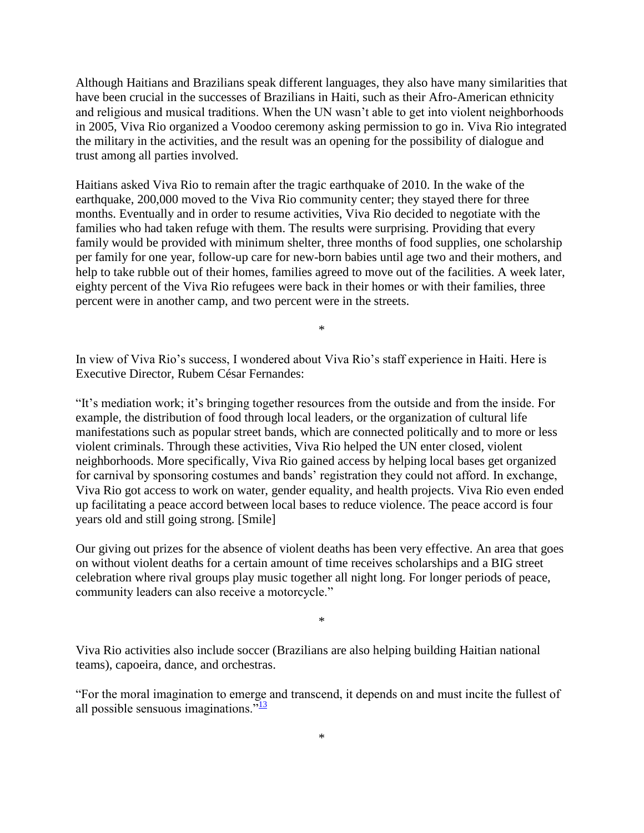Although Haitians and Brazilians speak different languages, they also have many similarities that have been crucial in the successes of Brazilians in Haiti, such as their Afro-American ethnicity and religious and musical traditions. When the UN wasn"t able to get into violent neighborhoods in 2005, Viva Rio organized a Voodoo ceremony asking permission to go in. Viva Rio integrated the military in the activities, and the result was an opening for the possibility of dialogue and trust among all parties involved.

Haitians asked Viva Rio to remain after the tragic earthquake of 2010. In the wake of the earthquake, 200,000 moved to the Viva Rio community center; they stayed there for three months. Eventually and in order to resume activities, Viva Rio decided to negotiate with the families who had taken refuge with them. The results were surprising. Providing that every family would be provided with minimum shelter, three months of food supplies, one scholarship per family for one year, follow-up care for new-born babies until age two and their mothers, and help to take rubble out of their homes, families agreed to move out of the facilities. A week later, eighty percent of the Viva Rio refugees were back in their homes or with their families, three percent were in another camp, and two percent were in the streets.

\*

In view of Viva Rio"s success, I wondered about Viva Rio"s staff experience in Haiti. Here is Executive Director, Rubem César Fernandes:

"It"s mediation work; it"s bringing together resources from the outside and from the inside. For example, the distribution of food through local leaders, or the organization of cultural life manifestations such as popular street bands, which are connected politically and to more or less violent criminals. Through these activities, Viva Rio helped the UN enter closed, violent neighborhoods. More specifically, Viva Rio gained access by helping local bases get organized for carnival by sponsoring costumes and bands" registration they could not afford. In exchange, Viva Rio got access to work on water, gender equality, and health projects. Viva Rio even ended up facilitating a peace accord between local bases to reduce violence. The peace accord is four years old and still going strong. [Smile]

Our giving out prizes for the absence of violent deaths has been very effective. An area that goes on without violent deaths for a certain amount of time receives scholarships and a BIG street celebration where rival groups play music together all night long. For longer periods of peace, community leaders can also receive a motorcycle."

\*

Viva Rio activities also include soccer (Brazilians are also helping building Haitian national teams), capoeira, dance, and orchestras.

"For the moral imagination to emerge and transcend, it depends on and must incite the fullest of all possible sensuous imaginations. $\frac{13}{13}$  $\frac{13}{13}$  $\frac{13}{13}$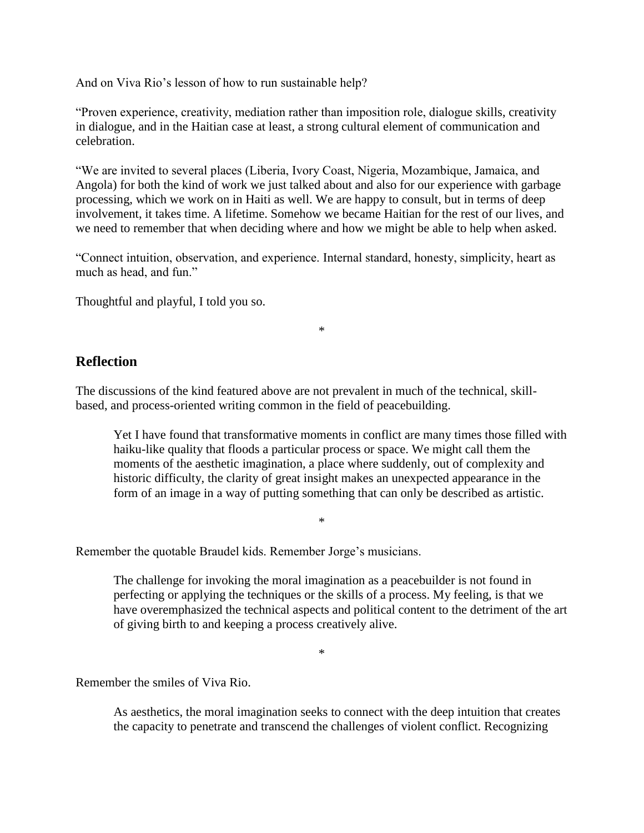And on Viva Rio's lesson of how to run sustainable help?

"Proven experience, creativity, mediation rather than imposition role, dialogue skills, creativity in dialogue, and in the Haitian case at least, a strong cultural element of communication and celebration.

"We are invited to several places (Liberia, Ivory Coast, Nigeria, Mozambique, Jamaica, and Angola) for both the kind of work we just talked about and also for our experience with garbage processing, which we work on in Haiti as well. We are happy to consult, but in terms of deep involvement, it takes time. A lifetime. Somehow we became Haitian for the rest of our lives, and we need to remember that when deciding where and how we might be able to help when asked.

"Connect intuition, observation, and experience. Internal standard, honesty, simplicity, heart as much as head, and fun."

\*

Thoughtful and playful, I told you so.

### **Reflection**

The discussions of the kind featured above are not prevalent in much of the technical, skillbased, and process-oriented writing common in the field of peacebuilding.

Yet I have found that transformative moments in conflict are many times those filled with haiku-like quality that floods a particular process or space. We might call them the moments of the aesthetic imagination, a place where suddenly, out of complexity and historic difficulty, the clarity of great insight makes an unexpected appearance in the form of an image in a way of putting something that can only be described as artistic.

\*

Remember the quotable Braudel kids. Remember Jorge's musicians.

The challenge for invoking the moral imagination as a peacebuilder is not found in perfecting or applying the techniques or the skills of a process. My feeling, is that we have overemphasized the technical aspects and political content to the detriment of the art of giving birth to and keeping a process creatively alive.

\*

Remember the smiles of Viva Rio.

As aesthetics, the moral imagination seeks to connect with the deep intuition that creates the capacity to penetrate and transcend the challenges of violent conflict. Recognizing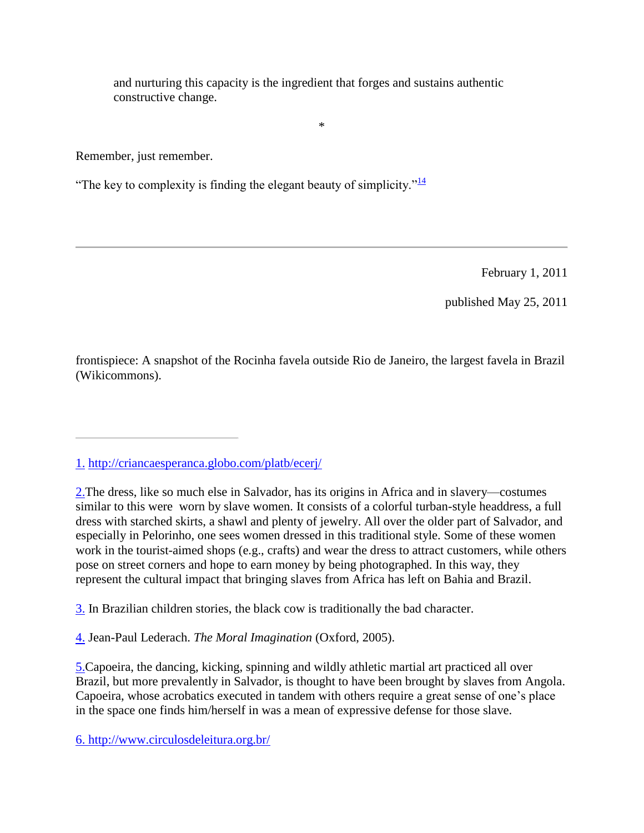and nurturing this capacity is the ingredient that forges and sustains authentic constructive change.

\*

Remember, just remember.

"The key to complexity is finding the elegant beauty of simplicity." $\frac{14}{14}$  $\frac{14}{14}$  $\frac{14}{14}$ 

February 1, 2011

published May 25, 2011

frontispiece: A snapshot of the Rocinha favela outside Rio de Janeiro, the largest favela in Brazil (Wikicommons).

[3.](http://mantlethought.org/content/moral-imagination-brazil#_ftnref3) In Brazilian children stories, the black cow is traditionally the bad character.

[4.](http://mantlethought.org/content/moral-imagination-brazil#_ftnref4) Jean-Paul Lederach. *The Moral Imagination* (Oxford, 2005).

[5.C](http://mantlethought.org/content/moral-imagination-brazil#_ftnref5)apoeira, the dancing, kicking, spinning and wildly athletic martial art practiced all over Brazil, but more prevalently in Salvador, is thought to have been brought by slaves from Angola. Capoeira, whose acrobatics executed in tandem with others require a great sense of one"s place in the space one finds him/herself in was a mean of expressive defense for those slave.

[6. http://www.circulosdeleitura.org.br/](http://mantlethought.org/content/moral-imagination-brazil#_ftnref6)

[<sup>1.</sup>](http://mantlethought.org/content/moral-imagination-brazil#_ftnref1) <http://criancaesperanca.globo.com/platb/ecerj/>

[<sup>2.</sup>T](http://mantlethought.org/content/moral-imagination-brazil#_ftnref2)he dress, like so much else in Salvador, has its origins in Africa and in slavery—costumes similar to this were worn by slave women. It consists of a colorful turban-style headdress, a full dress with starched skirts, a shawl and plenty of jewelry. All over the older part of Salvador, and especially in Pelorinho, one sees women dressed in this traditional style. Some of these women work in the tourist-aimed shops (e.g., crafts) and wear the dress to attract customers, while others pose on street corners and hope to earn money by being photographed. In this way, they represent the cultural impact that bringing slaves from Africa has left on Bahia and Brazil.